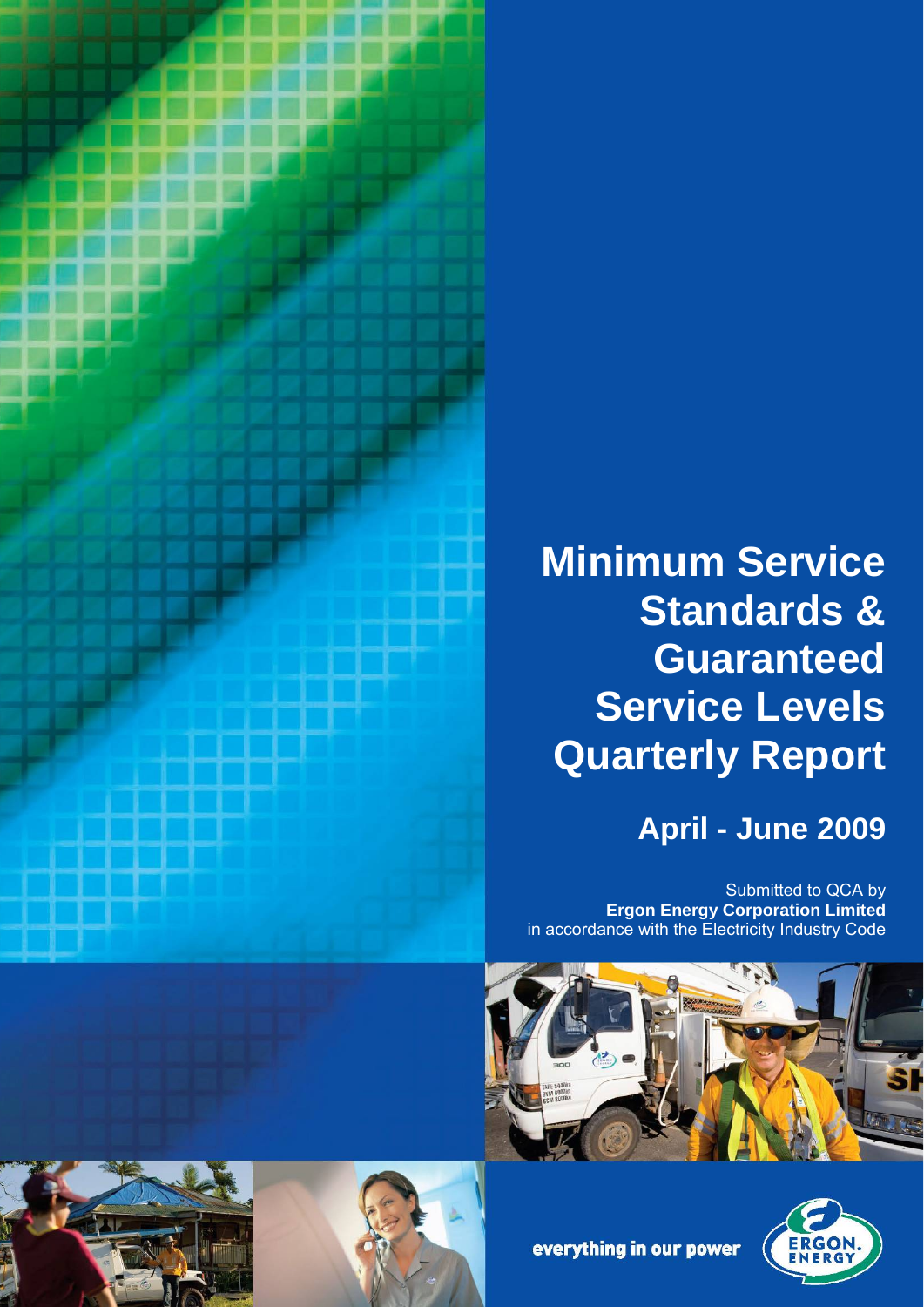

# **Minimum Service Standards & Guaranteed Service Levels Quarterly Report**

## **April - June 2009**

Submitted to QCA by **Ergon Energy Corporation Limited** in accordance with the Electricity Industry Code









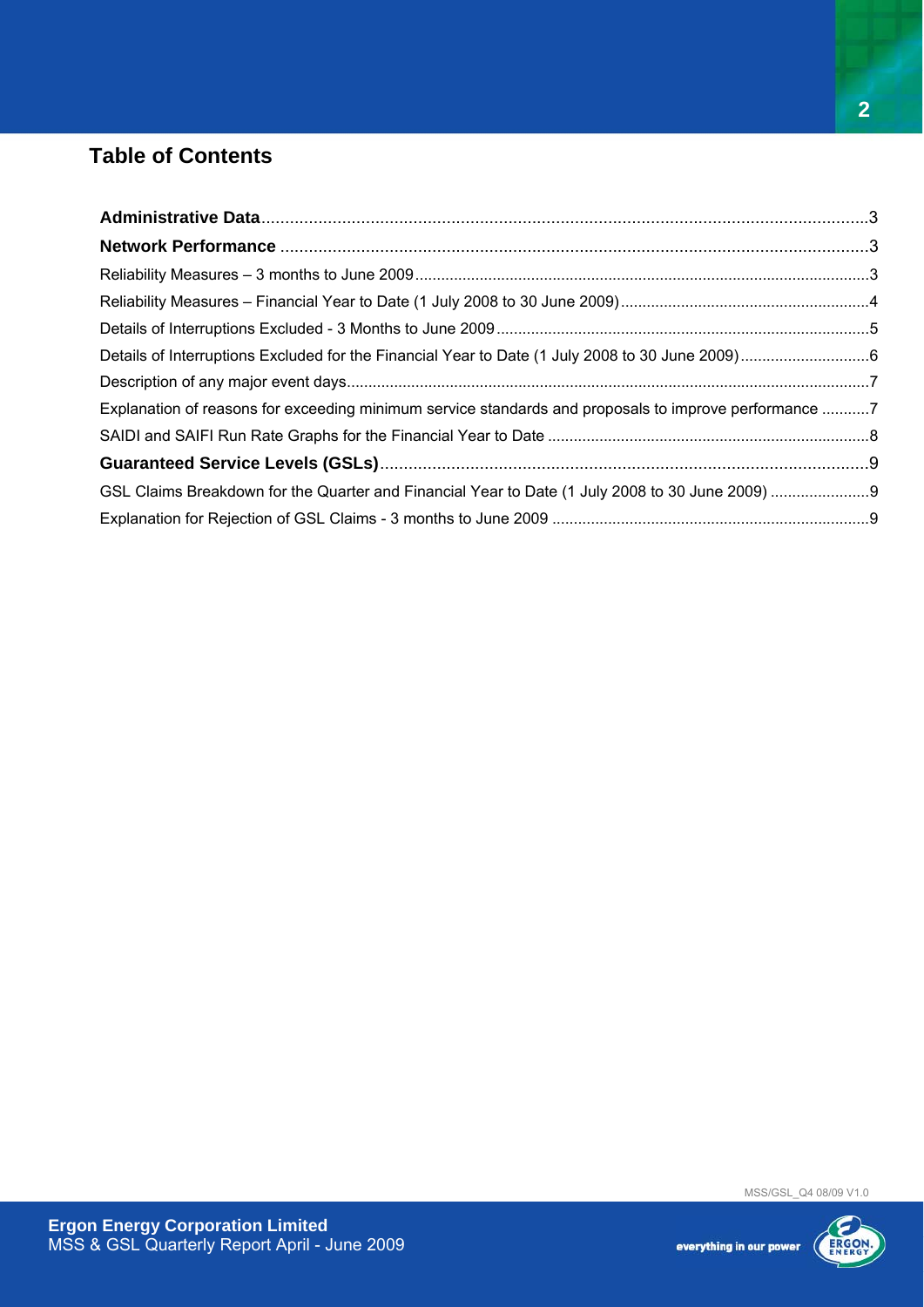### **Table of Contents**

| Explanation of reasons for exceeding minimum service standards and proposals to improve performance 7 |  |
|-------------------------------------------------------------------------------------------------------|--|
|                                                                                                       |  |
|                                                                                                       |  |
|                                                                                                       |  |
|                                                                                                       |  |

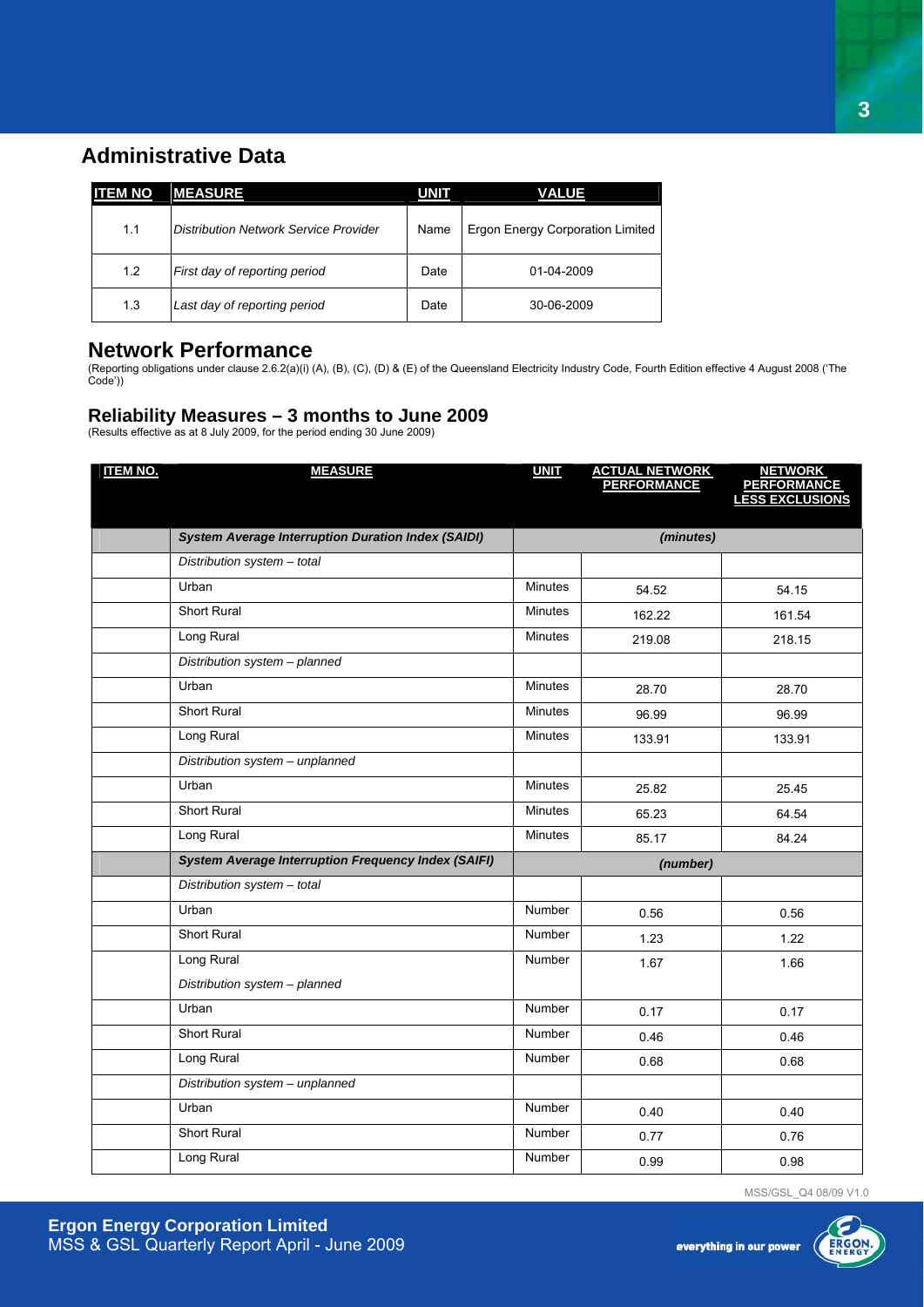### **Administrative Data**

| <b>ITEM NO</b> | <b>MEASURE</b>                        | <b>UNIT</b> | VALUE                            |
|----------------|---------------------------------------|-------------|----------------------------------|
| 1.1            | Distribution Network Service Provider | Name        | Ergon Energy Corporation Limited |
| 1.2            | First day of reporting period         | Date        | 01-04-2009                       |
| 1.3            | Last day of reporting period          | Date        | 30-06-2009                       |

### **Network Performance**

(Reporting obligations under clause 2.6.2(a)(i) (A), (B), (C), (D) & (E) of the Queensland Electricity Industry Code, Fourth Edition effective 4 August 2008 ('The Code'))

### **Reliability Measures – 3 months to June 2009**

(Results effective as at 8 July 2009, for the period ending 30 June 2009)

| <b>ITEM NO.</b> | <b>MEASURE</b>                                             | <b>UNIT</b>    | <b>ACTUAL NETWORK<br/>PERFORMANCE</b> | <b>NETWORK</b><br><b>PERFORMANCE</b><br>LESS EXCLUSIONS |
|-----------------|------------------------------------------------------------|----------------|---------------------------------------|---------------------------------------------------------|
|                 |                                                            |                |                                       |                                                         |
|                 | <b>System Average Interruption Duration Index (SAIDI)</b>  |                | (minutes)                             |                                                         |
|                 | Distribution system - total                                |                |                                       |                                                         |
|                 | Urban                                                      | <b>Minutes</b> | 54.52                                 | 54.15                                                   |
|                 | <b>Short Rural</b>                                         | <b>Minutes</b> | 162.22                                | 161.54                                                  |
|                 | Long Rural                                                 | <b>Minutes</b> | 219.08                                | 218.15                                                  |
|                 | Distribution system - planned                              |                |                                       |                                                         |
|                 | Urban                                                      | <b>Minutes</b> | 28.70                                 | 28.70                                                   |
|                 | <b>Short Rural</b>                                         | <b>Minutes</b> | 96.99                                 | 96.99                                                   |
|                 | Long Rural                                                 | <b>Minutes</b> | 133.91                                | 133.91                                                  |
|                 | Distribution system - unplanned                            |                |                                       |                                                         |
|                 | Urban                                                      | <b>Minutes</b> | 25.82                                 | 25.45                                                   |
|                 | <b>Short Rural</b>                                         | <b>Minutes</b> | 65.23                                 | 64.54                                                   |
|                 | Long Rural                                                 | <b>Minutes</b> | 85.17                                 | 84.24                                                   |
|                 | <b>System Average Interruption Frequency Index (SAIFI)</b> |                | (number)                              |                                                         |
|                 | Distribution system - total                                |                |                                       |                                                         |
|                 | Urban                                                      | <b>Number</b>  | 0.56                                  | 0.56                                                    |
|                 | Short Rural                                                | Number         | 1.23                                  | 1.22                                                    |
|                 | Long Rural                                                 | Number         | 1.67                                  | 1.66                                                    |
|                 | Distribution system - planned                              |                |                                       |                                                         |
|                 | Urban                                                      | Number         | 0.17                                  | 0.17                                                    |
|                 | <b>Short Rural</b>                                         | <b>Number</b>  | 0.46                                  | 0.46                                                    |
|                 | Long Rural                                                 | Number         | 0.68                                  | 0.68                                                    |
|                 | Distribution system - unplanned                            |                |                                       |                                                         |
|                 | Urban                                                      | Number         | 0.40                                  | 0.40                                                    |
|                 | <b>Short Rural</b>                                         | Number         | 0.77                                  | 0.76                                                    |
|                 | Long Rural                                                 | Number         | 0.99                                  | 0.98                                                    |

MSS/GSL\_Q4 08/09 V1.0

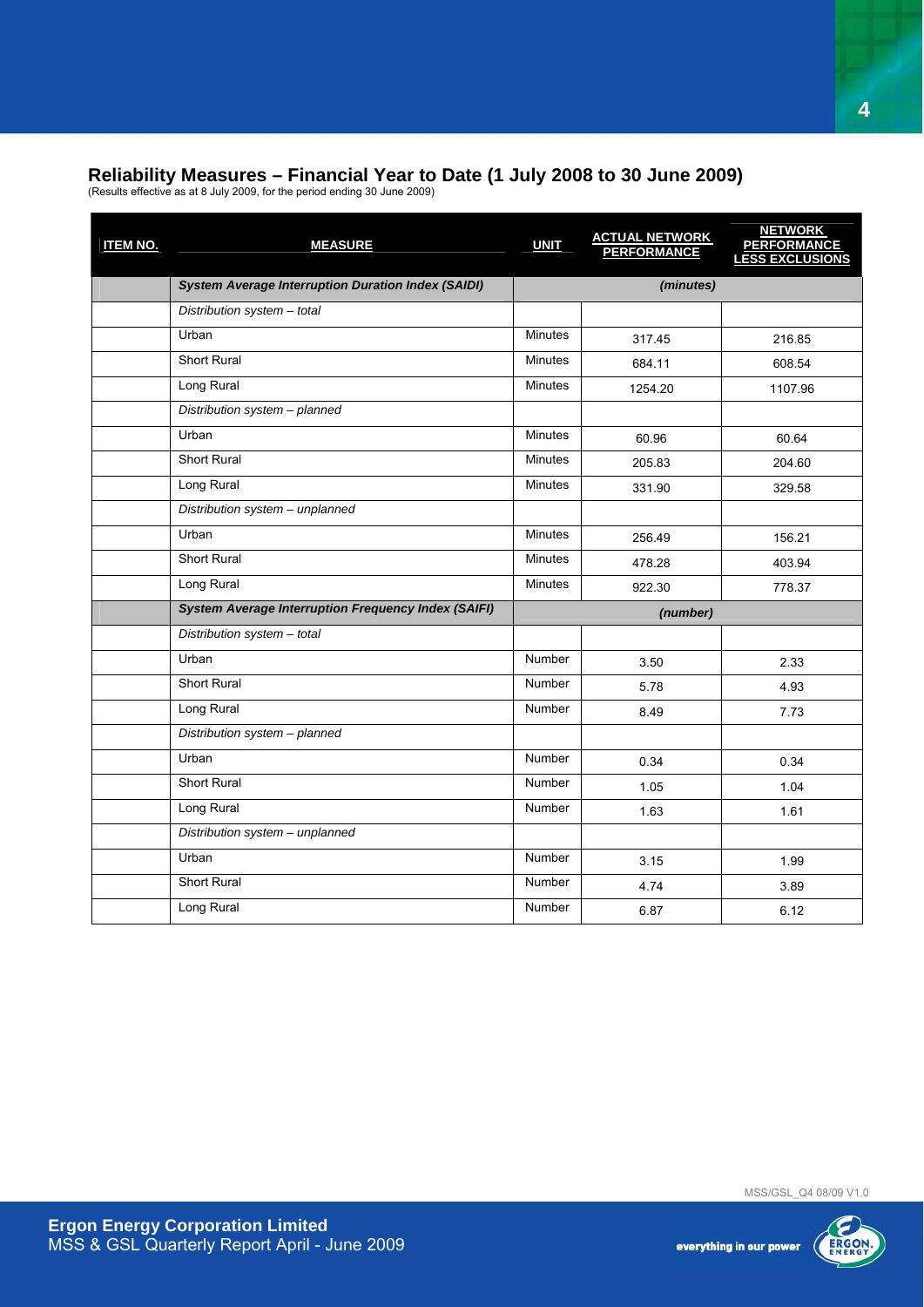### **Reliability Measures – Financial Year to Date (1 July 2008 to 30 June 2009)**

(Results effective as at 8 July 2009, for the period ending 30 June 2009)

| <b>ITEM NO.</b> | <b>MEASURE</b>                                             | <b>UNIT</b>    | <b>ACTUAL NETWORK</b><br><b>PERFORMANCE</b> | <u>NETWORK<br/>PERFORMANCE<br/>LESS EXCLUSIONS</u> |
|-----------------|------------------------------------------------------------|----------------|---------------------------------------------|----------------------------------------------------|
|                 | <b>System Average Interruption Duration Index (SAIDI)</b>  |                | (minutes)                                   |                                                    |
|                 | Distribution system - total                                |                |                                             |                                                    |
|                 | Urban                                                      | <b>Minutes</b> | 317.45                                      | 216.85                                             |
|                 | Short Rural                                                | <b>Minutes</b> | 684.11                                      | 608.54                                             |
|                 | Long Rural                                                 | <b>Minutes</b> | 1254.20                                     | 1107.96                                            |
|                 | Distribution system - planned                              |                |                                             |                                                    |
|                 | Urban                                                      | <b>Minutes</b> | 60.96                                       | 60.64                                              |
|                 | Short Rural                                                | <b>Minutes</b> | 205.83                                      | 204.60                                             |
|                 | Long Rural                                                 | <b>Minutes</b> | 331.90                                      | 329.58                                             |
|                 | Distribution system - unplanned                            |                |                                             |                                                    |
|                 | Urban                                                      | <b>Minutes</b> | 256.49                                      | 156.21                                             |
|                 | Short Rural                                                | <b>Minutes</b> | 478.28                                      | 403.94                                             |
|                 | Long Rural                                                 | <b>Minutes</b> | 922.30                                      | 778.37                                             |
|                 | <b>System Average Interruption Frequency Index (SAIFI)</b> |                | (number)                                    |                                                    |
|                 | Distribution system - total                                |                |                                             |                                                    |
|                 | Urban                                                      | <b>Number</b>  | 3.50                                        | 2.33                                               |
|                 | <b>Short Rural</b>                                         | <b>Number</b>  | 5.78                                        | 4.93                                               |
|                 | Long Rural                                                 | Number         | 8.49                                        | 7.73                                               |
|                 | Distribution system - planned                              |                |                                             |                                                    |
|                 | Urban                                                      | Number         | 0.34                                        | 0.34                                               |
|                 | <b>Short Rural</b>                                         | <b>Number</b>  | 1.05                                        | 1.04                                               |
|                 | Long Rural                                                 | Number         | 1.63                                        | 1.61                                               |
|                 | Distribution system - unplanned                            |                |                                             |                                                    |
|                 | Urban                                                      | <b>Number</b>  | 3.15                                        | 1.99                                               |
|                 | Short Rural                                                | Number         | 4.74                                        | 3.89                                               |
|                 | Long Rural                                                 | <b>Number</b>  | 6.87                                        | 6.12                                               |



**4**

everything in our power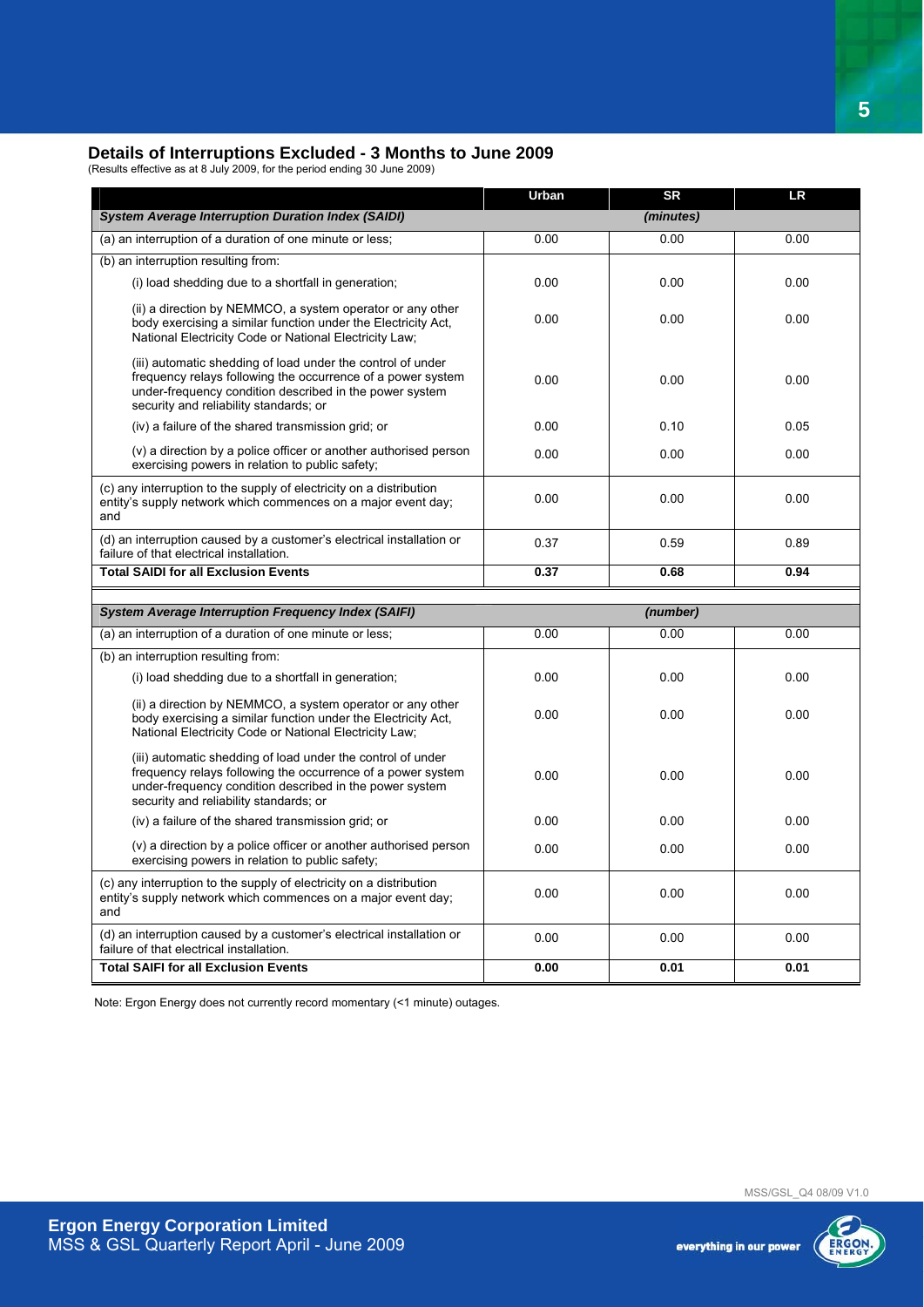#### **Details of Interruptions Excluded - 3 Months to June 2009**

(Results effective as at 8 July 2009, for the period ending 30 June 2009)

|                                                                                                                                                                                                                                 | Urban | <b>SR</b> | <b>LR</b> |
|---------------------------------------------------------------------------------------------------------------------------------------------------------------------------------------------------------------------------------|-------|-----------|-----------|
| <b>System Average Interruption Duration Index (SAIDI)</b>                                                                                                                                                                       |       | (minutes) |           |
| (a) an interruption of a duration of one minute or less;                                                                                                                                                                        | 0.00  | 0.00      | 0.00      |
| (b) an interruption resulting from:                                                                                                                                                                                             |       |           |           |
| (i) load shedding due to a shortfall in generation;                                                                                                                                                                             | 0.00  | 0.00      | 0.00      |
| (ii) a direction by NEMMCO, a system operator or any other<br>body exercising a similar function under the Electricity Act,<br>National Electricity Code or National Electricity Law;                                           | 0.00  | 0.00      | 0.00      |
| (iii) automatic shedding of load under the control of under<br>frequency relays following the occurrence of a power system<br>under-frequency condition described in the power system<br>security and reliability standards; or | 0.00  | 0.00      | 0.00      |
| (iv) a failure of the shared transmission grid; or                                                                                                                                                                              | 0.00  | 0.10      | 0.05      |
| (v) a direction by a police officer or another authorised person<br>exercising powers in relation to public safety;                                                                                                             | 0.00  | 0.00      | 0.00      |
| (c) any interruption to the supply of electricity on a distribution<br>entity's supply network which commences on a major event day;<br>and                                                                                     | 0.00  | 0.00      | 0.00      |
| (d) an interruption caused by a customer's electrical installation or<br>failure of that electrical installation.                                                                                                               | 0.37  | 0.59      | 0.89      |
| <b>Total SAIDI for all Exclusion Events</b>                                                                                                                                                                                     | 0.37  | 0.68      | 0.94      |
|                                                                                                                                                                                                                                 |       |           |           |
| <b>System Average Interruption Frequency Index (SAIFI)</b>                                                                                                                                                                      |       | (number)  |           |
| (a) an interruption of a duration of one minute or less;                                                                                                                                                                        | 0.00  | 0.00      | 0.00      |
| (b) an interruption resulting from:                                                                                                                                                                                             |       |           |           |
|                                                                                                                                                                                                                                 |       |           |           |
| (i) load shedding due to a shortfall in generation;                                                                                                                                                                             | 0.00  | 0.00      | 0.00      |
| (ii) a direction by NEMMCO, a system operator or any other<br>body exercising a similar function under the Electricity Act.<br>National Electricity Code or National Electricity Law;                                           | 0.00  | 0.00      | 0.00      |
| (iii) automatic shedding of load under the control of under<br>frequency relays following the occurrence of a power system<br>under-frequency condition described in the power system<br>security and reliability standards; or | 0.00  | 0.00      | 0.00      |
| (iv) a failure of the shared transmission grid; or                                                                                                                                                                              | 0.00  | 0.00      | 0.00      |
| (v) a direction by a police officer or another authorised person<br>exercising powers in relation to public safety;                                                                                                             | 0.00  | 0.00      | 0.00      |
| (c) any interruption to the supply of electricity on a distribution<br>entity's supply network which commences on a major event day;<br>and                                                                                     | 0.00  | 0.00      | 0.00      |
| (d) an interruption caused by a customer's electrical installation or<br>failure of that electrical installation.                                                                                                               | 0.00  | 0.00      | 0.00      |

Note: Ergon Energy does not currently record momentary (<1 minute) outages.



**5**

everything in our power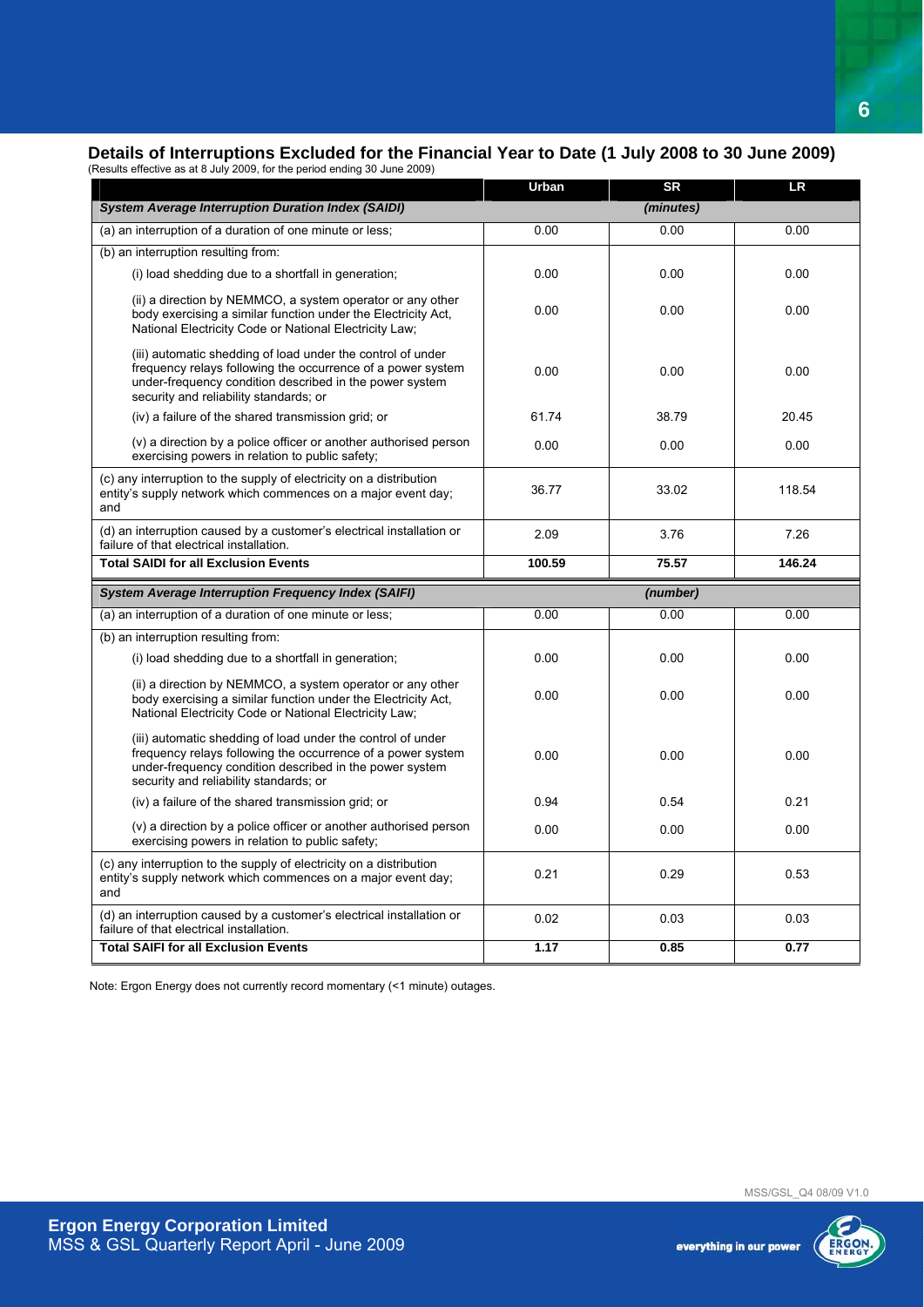### **Details of Interruptions Excluded for the Financial Year to Date (1 July 2008 to 30 June 2009)**<br>(Besults effective as at 8 July 2009 for the period ending 30 June 2009)

| (Results effective as at 8 July 2009, for the period ending 30 June 2009) |
|---------------------------------------------------------------------------|

|                                                                                                                                                                                                                                 | Urban  | <b>SR</b> | <b>LR</b> |
|---------------------------------------------------------------------------------------------------------------------------------------------------------------------------------------------------------------------------------|--------|-----------|-----------|
| <b>System Average Interruption Duration Index (SAIDI)</b>                                                                                                                                                                       |        | (minutes) |           |
| (a) an interruption of a duration of one minute or less;                                                                                                                                                                        | 0.00   | 0.00      | 0.00      |
| (b) an interruption resulting from:                                                                                                                                                                                             |        |           |           |
| (i) load shedding due to a shortfall in generation;                                                                                                                                                                             | 0.00   | 0.00      | 0.00      |
| (ii) a direction by NEMMCO, a system operator or any other<br>body exercising a similar function under the Electricity Act.<br>National Electricity Code or National Electricity Law;                                           | 0.00   | 0.00      | 0.00      |
| (iii) automatic shedding of load under the control of under<br>frequency relays following the occurrence of a power system<br>under-frequency condition described in the power system<br>security and reliability standards; or | 0.00   | 0.00      | 0.00      |
| (iv) a failure of the shared transmission grid; or                                                                                                                                                                              | 61.74  | 38.79     | 20.45     |
| (v) a direction by a police officer or another authorised person<br>exercising powers in relation to public safety;                                                                                                             | 0.00   | 0.00      | 0.00      |
| (c) any interruption to the supply of electricity on a distribution<br>entity's supply network which commences on a major event day;<br>and                                                                                     | 36.77  | 33.02     | 118.54    |
| (d) an interruption caused by a customer's electrical installation or<br>failure of that electrical installation.                                                                                                               | 2.09   | 3.76      | 7.26      |
| <b>Total SAIDI for all Exclusion Events</b>                                                                                                                                                                                     | 100.59 | 75.57     | 146.24    |
|                                                                                                                                                                                                                                 |        |           |           |
| <b>System Average Interruption Frequency Index (SAIFI)</b>                                                                                                                                                                      |        | (number)  |           |
| (a) an interruption of a duration of one minute or less;                                                                                                                                                                        | 0.00   | 0.00      | 0.00      |
| (b) an interruption resulting from:                                                                                                                                                                                             |        |           |           |
| (i) load shedding due to a shortfall in generation;                                                                                                                                                                             | 0.00   | 0.00      | 0.00      |
| (ii) a direction by NEMMCO, a system operator or any other<br>body exercising a similar function under the Electricity Act.<br>National Electricity Code or National Electricity Law;                                           | 0.00   | 0.00      | 0.00      |
| (iii) automatic shedding of load under the control of under<br>frequency relays following the occurrence of a power system<br>under-frequency condition described in the power system<br>security and reliability standards; or | 0.00   | 0.00      | 0.00      |
| (iv) a failure of the shared transmission grid; or                                                                                                                                                                              | 0.94   | 0.54      | 0.21      |
| (v) a direction by a police officer or another authorised person<br>exercising powers in relation to public safety;                                                                                                             | 0.00   | 0.00      | 0.00      |
| (c) any interruption to the supply of electricity on a distribution<br>entity's supply network which commences on a major event day;<br>and                                                                                     | 0.21   | 0.29      | 0.53      |
| (d) an interruption caused by a customer's electrical installation or<br>failure of that electrical installation.                                                                                                               | 0.02   | 0.03      | 0.03      |

Note: Ergon Energy does not currently record momentary (<1 minute) outages.



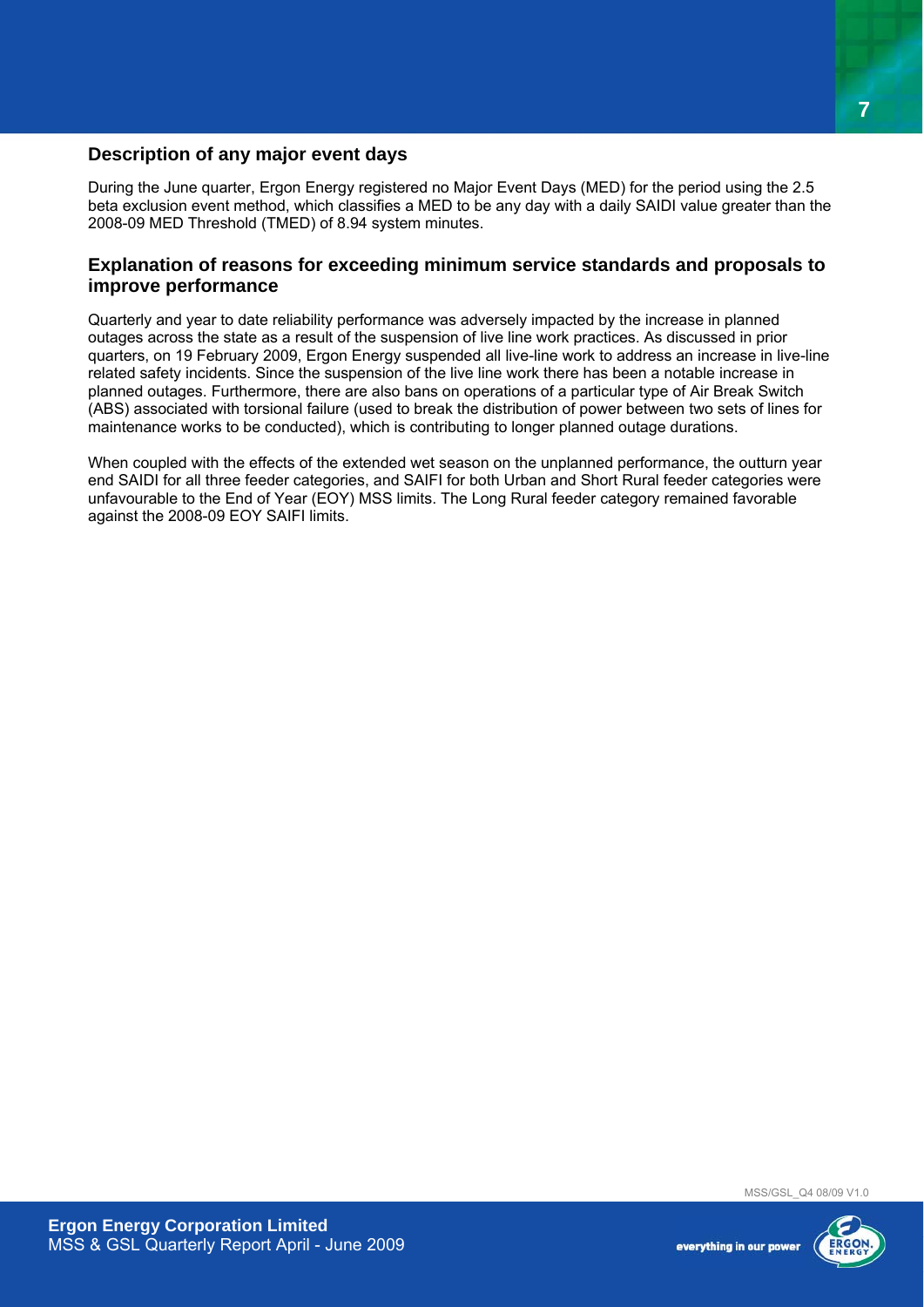### **Description of any major event days**

During the June quarter, Ergon Energy registered no Major Event Days (MED) for the period using the 2.5 beta exclusion event method, which classifies a MED to be any day with a daily SAIDI value greater than the 2008-09 MED Threshold (TMED) of 8.94 system minutes.

#### **Explanation of reasons for exceeding minimum service standards and proposals to improve performance**

Quarterly and year to date reliability performance was adversely impacted by the increase in planned outages across the state as a result of the suspension of live line work practices. As discussed in prior quarters, on 19 February 2009, Ergon Energy suspended all live-line work to address an increase in live-line related safety incidents. Since the suspension of the live line work there has been a notable increase in planned outages. Furthermore, there are also bans on operations of a particular type of Air Break Switch (ABS) associated with torsional failure (used to break the distribution of power between two sets of lines for maintenance works to be conducted), which is contributing to longer planned outage durations.

When coupled with the effects of the extended wet season on the unplanned performance, the outturn year end SAIDI for all three feeder categories, and SAIFI for both Urban and Short Rural feeder categories were unfavourable to the End of Year (EOY) MSS limits. The Long Rural feeder category remained favorable against the 2008-09 EOY SAIFI limits.

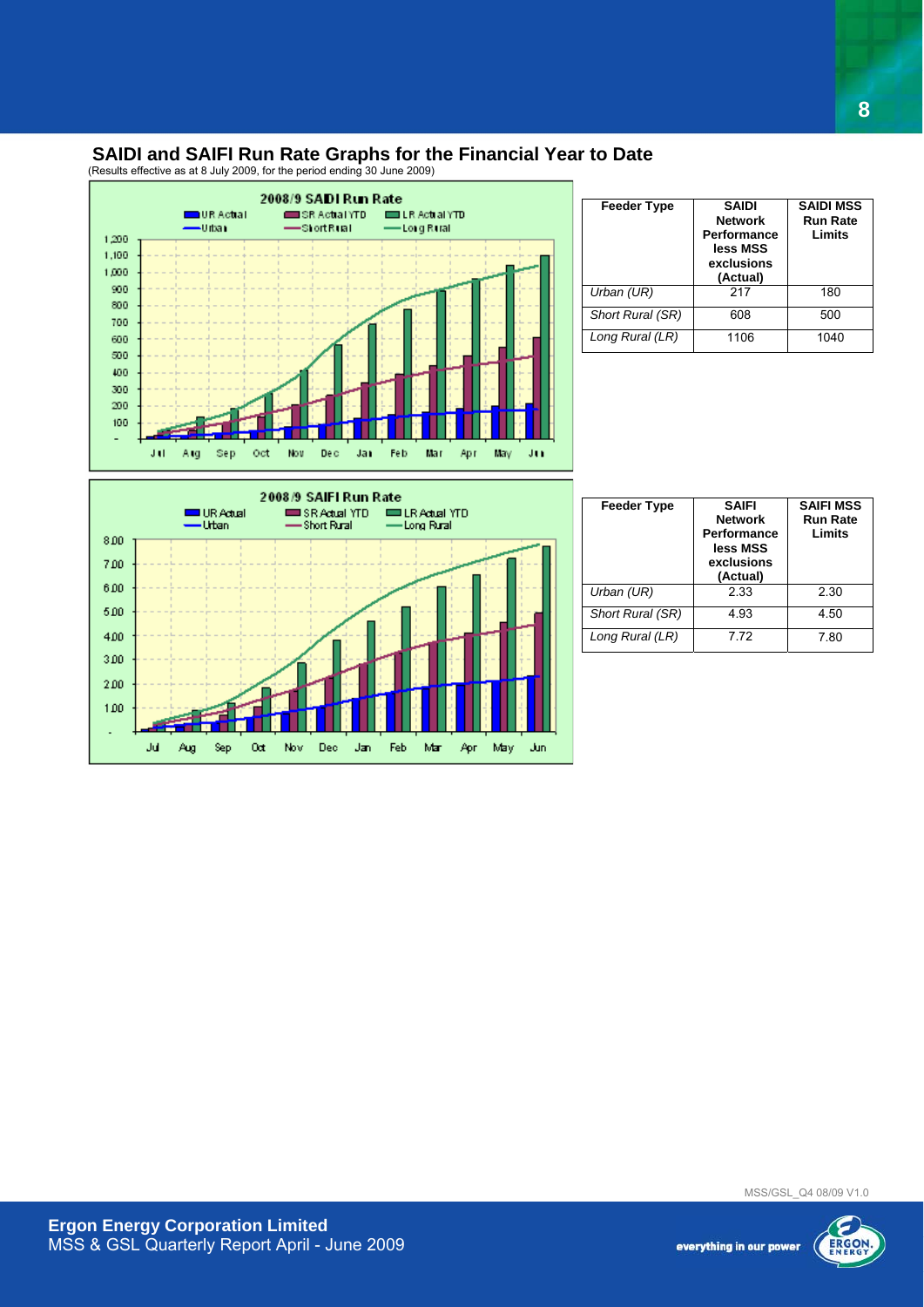### **SAIDI and SAIFI Run Rate Graphs for the Financial Year to Date**

(Results effective as at 8 July 2009, for the period ending 30 June 2009)



| <b>Feeder Type</b> | <b>SAIDI</b><br><b>Network</b><br>Performance<br>less MSS<br>exclusions<br>(Actual) | <b>SAIDI MSS</b><br><b>Run Rate</b><br>Limits |
|--------------------|-------------------------------------------------------------------------------------|-----------------------------------------------|
| Urban (UR)         | 217                                                                                 | 180                                           |
| Short Rural (SR)   | 608                                                                                 | 500                                           |
| Long Rural (LR)    | 1106                                                                                | 1040                                          |

**8**



| <b>Feeder Type</b> | <b>SAIFI</b><br><b>Network</b><br>Performance<br>less MSS<br>exclusions<br>(Actual) | <b>SAIFI MSS</b><br><b>Run Rate</b><br>Limits |
|--------------------|-------------------------------------------------------------------------------------|-----------------------------------------------|
| Urban (UR)         | 2.33                                                                                | 2.30                                          |
| Short Rural (SR)   | 4.93                                                                                | 4.50                                          |
| Long Rural (LR)    | 7.72                                                                                | 7.80                                          |

MSS/GSL\_Q4 08/09 V1.0

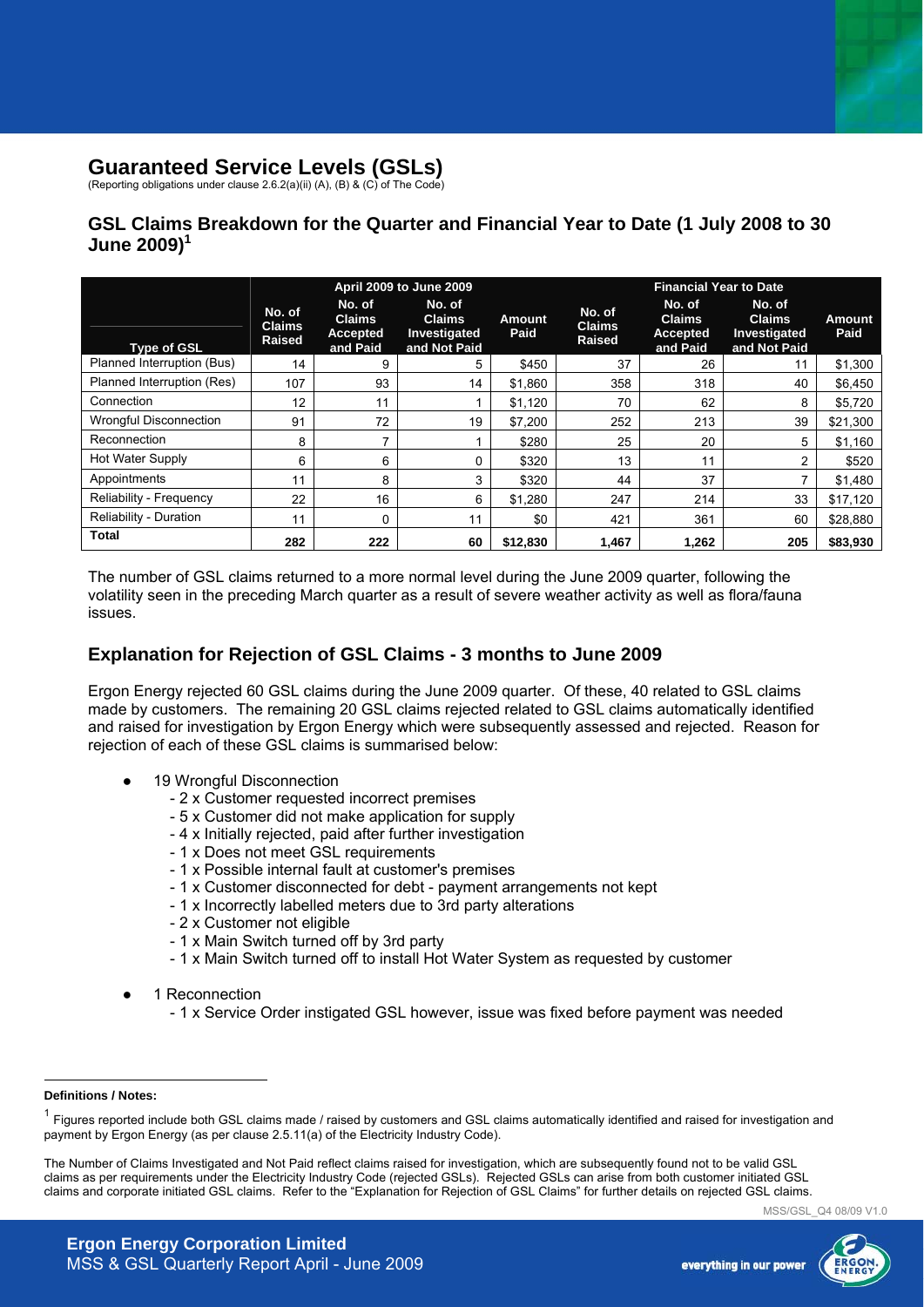### **Guaranteed Service Levels (GSLs)**

(Reporting obligations under clause 2.6.2(a)(ii) (A), (B) & (C) of The Code)

### **GSL Claims Breakdown for the Quarter and Financial Year to Date (1 July 2008 to 30 June 2009)<sup>1</sup>**

|                               | April 2009 to June 2009                  |                                                        |                                                         | <b>Financial Year to Date</b> |                                          |                                                 |                                                         |                |
|-------------------------------|------------------------------------------|--------------------------------------------------------|---------------------------------------------------------|-------------------------------|------------------------------------------|-------------------------------------------------|---------------------------------------------------------|----------------|
| <b>Type of GSL</b>            | No. of<br><b>Claims</b><br><b>Raised</b> | No. of<br><b>Claims</b><br><b>Accepted</b><br>and Paid | No. of<br><b>Claims</b><br>Investigated<br>and Not Paid | <b>Amount</b><br>Paid         | No. of<br><b>Claims</b><br><b>Raised</b> | No. of<br><b>Claims</b><br>Accepted<br>and Paid | No. of<br><b>Claims</b><br>Investigated<br>and Not Paid | Amount<br>Paid |
| Planned Interruption (Bus)    | 14                                       | 9                                                      | 5                                                       | \$450                         | 37                                       | 26                                              | 11                                                      | \$1,300        |
| Planned Interruption (Res)    | 107                                      | 93                                                     | 14                                                      | \$1,860                       | 358                                      | 318                                             | 40                                                      | \$6,450        |
| Connection                    | 12                                       | 11                                                     |                                                         | \$1,120                       | 70                                       | 62                                              | 8                                                       | \$5,720        |
| <b>Wrongful Disconnection</b> | 91                                       | 72                                                     | 19                                                      | \$7,200                       | 252                                      | 213                                             | 39                                                      | \$21,300       |
| Reconnection                  | 8                                        | 7                                                      |                                                         | \$280                         | 25                                       | 20                                              | 5                                                       | \$1,160        |
| Hot Water Supply              | 6                                        | 6                                                      | 0                                                       | \$320                         | 13                                       | 11                                              | $\overline{2}$                                          | \$520          |
| Appointments                  | 11                                       | 8                                                      | 3                                                       | \$320                         | 44                                       | 37                                              | 7                                                       | \$1,480        |
| Reliability - Frequency       | 22                                       | 16                                                     | 6                                                       | \$1,280                       | 247                                      | 214                                             | 33                                                      | \$17.120       |
| Reliability - Duration        | 11                                       | $\Omega$                                               | 11                                                      | \$0                           | 421                                      | 361                                             | 60                                                      | \$28,880       |
| <b>Total</b>                  | 282                                      | 222                                                    | 60                                                      | \$12,830                      | 1.467                                    | 1.262                                           | 205                                                     | \$83.930       |

The number of GSL claims returned to a more normal level during the June 2009 quarter, following the volatility seen in the preceding March quarter as a result of severe weather activity as well as flora/fauna issues.

### **Explanation for Rejection of GSL Claims - 3 months to June 2009**

Ergon Energy rejected 60 GSL claims during the June 2009 quarter. Of these, 40 related to GSL claims made by customers. The remaining 20 GSL claims rejected related to GSL claims automatically identified and raised for investigation by Ergon Energy which were subsequently assessed and rejected. Reason for rejection of each of these GSL claims is summarised below:

- 19 Wrongful Disconnection
	- 2 x Customer requested incorrect premises
	- 5 x Customer did not make application for supply
	- 4 x Initially rejected, paid after further investigation
	- 1 x Does not meet GSL requirements
	- 1 x Possible internal fault at customer's premises
	- 1 x Customer disconnected for debt payment arrangements not kept
	- 1 x Incorrectly labelled meters due to 3rd party alterations
	- 2 x Customer not eligible
	- 1 x Main Switch turned off by 3rd party
	- 1 x Main Switch turned off to install Hot Water System as requested by customer
- 1 Reconnection
	- 1 x Service Order instigated GSL however, issue was fixed before payment was needed

 $\overline{a}$ 

MSS/GSL\_Q4 08/09 V1.0



**Definitions / Notes:** 

<sup>1</sup> Figures reported include both GSL claims made / raised by customers and GSL claims automatically identified and raised for investigation and payment by Ergon Energy (as per clause 2.5.11(a) of the Electricity Industry Code).

The Number of Claims Investigated and Not Paid reflect claims raised for investigation, which are subsequently found not to be valid GSL claims as per requirements under the Electricity Industry Code (rejected GSLs). Rejected GSLs can arise from both customer initiated GSL claims and corporate initiated GSL claims. Refer to the "Explanation for Rejection of GSL Claims" for further details on rejected GSL claims.